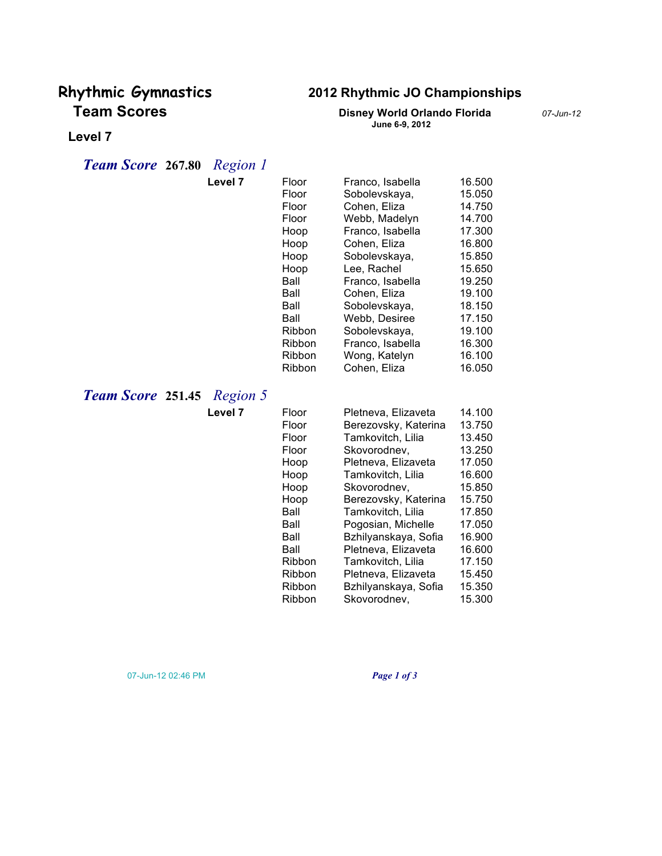# **Team Scores Disney World Orlando Florida** *07-Jun-12*

## **Rhythmic Gymnastics 2012 Rhythmic JO Championships**

**June 6-9, 2012**

#### **Level 7**

### *Team Score* **267.80** *Region 1*

|                          | Level 7  | Floor<br>Floor<br>Floor<br>Floor<br>Hoop<br>Hoop<br>Hoop<br>Hoop<br>Ball<br>Ball<br>Ball<br>Ball<br>Ribbon<br>Ribbon<br>Ribbon<br>Ribbon | Franco, Isabella<br>Sobolevskaya,<br>Cohen, Eliza<br>Webb, Madelyn<br>Franco, Isabella<br>Cohen, Eliza<br>Sobolevskaya,<br>Lee, Rachel<br>Franco, Isabella<br>Cohen, Eliza<br>Sobolevskaya,<br>Webb, Desiree<br>Sobolevskaya,<br>Franco, Isabella<br>Wong, Katelyn<br>Cohen, Eliza                                                                 | 16.500<br>15.050<br>14.750<br>14.700<br>17.300<br>16.800<br>15.850<br>15.650<br>19.250<br>19.100<br>18.150<br>17.150<br>19.100<br>16.300<br>16.100<br>16.050 |
|--------------------------|----------|------------------------------------------------------------------------------------------------------------------------------------------|----------------------------------------------------------------------------------------------------------------------------------------------------------------------------------------------------------------------------------------------------------------------------------------------------------------------------------------------------|--------------------------------------------------------------------------------------------------------------------------------------------------------------|
| <b>Team Score 251.45</b> | Region 5 |                                                                                                                                          |                                                                                                                                                                                                                                                                                                                                                    |                                                                                                                                                              |
|                          | Level 7  | Floor<br>Floor<br>Floor<br>Floor<br>Hoop<br>Hoop<br>Hoop<br>Hoop<br>Ball<br>Ball<br>Ball<br>Ball<br>Ribbon<br>Ribbon<br>Ribbon<br>Ribbon | Pletneva, Elizaveta<br>Berezovsky, Katerina<br>Tamkovitch, Lilia<br>Skovorodnev,<br>Pletneva, Elizaveta<br>Tamkovitch, Lilia<br>Skovorodnev,<br>Berezovsky, Katerina<br>Tamkovitch, Lilia<br>Pogosian, Michelle<br>Bzhilyanskaya, Sofia<br>Pletneva, Elizaveta<br>Tamkovitch, Lilia<br>Pletneva, Elizaveta<br>Bzhilyanskaya, Sofia<br>Skovorodnev, | 14.100<br>13.750<br>13.450<br>13.250<br>17.050<br>16.600<br>15.850<br>15.750<br>17.850<br>17.050<br>16.900<br>16.600<br>17.150<br>15.450<br>15.350<br>15.300 |

07-Jun-12 02:46 PM *Page 1 of 3*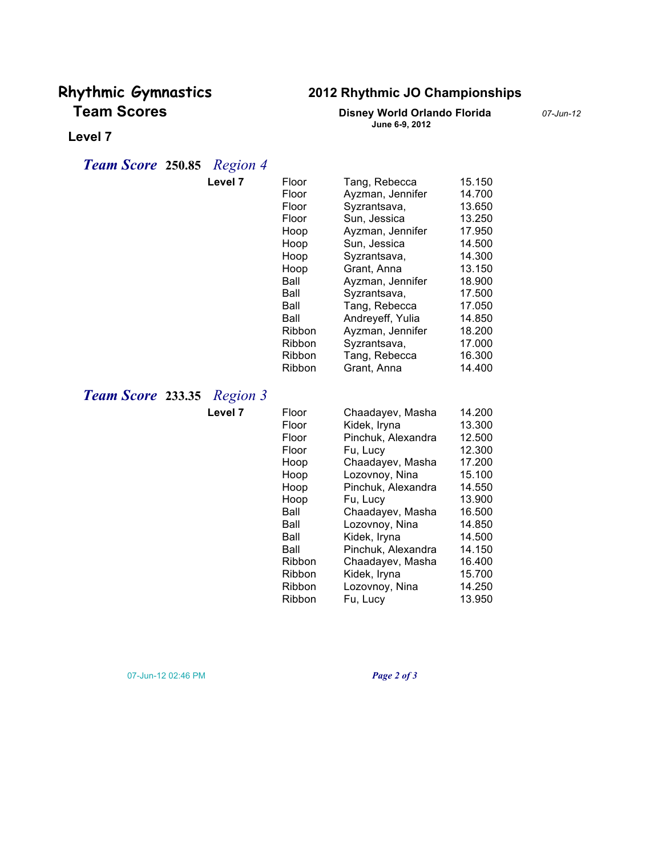# **Team Scores Disney World Orlando Florida** *07-Jun-12*

## **Rhythmic Gymnastics 2012 Rhythmic JO Championships**

**June 6-9, 2012**

#### **Level 7**

### *Team Score* **250.85** *Region 4*

|                          | Level 7             | Floor<br>Floor<br>Floor<br>Floor<br>Hoop<br>Hoop<br>Hoop<br>Hoop<br>Ball<br>Ball<br>Ball<br>Ball<br>Ribbon<br><b>Ribbon</b><br>Ribbon<br>Ribbon | Tang, Rebecca<br>Ayzman, Jennifer<br>Syzrantsava,<br>Sun, Jessica<br>Ayzman, Jennifer<br>Sun, Jessica<br>Syzrantsava,<br>Grant, Anna<br>Ayzman, Jennifer<br>Syzrantsava,<br>Tang, Rebecca<br>Andreyeff, Yulia<br>Ayzman, Jennifer<br>Syzrantsava,<br>Tang, Rebecca   | 15.150<br>14.700<br>13.650<br>13.250<br>17.950<br>14.500<br>14.300<br>13.150<br>18.900<br>17.500<br>17.050<br>14.850<br>18.200<br>17.000<br>16.300<br>14.400 |
|--------------------------|---------------------|-------------------------------------------------------------------------------------------------------------------------------------------------|----------------------------------------------------------------------------------------------------------------------------------------------------------------------------------------------------------------------------------------------------------------------|--------------------------------------------------------------------------------------------------------------------------------------------------------------|
| <b>Team Score 233.35</b> | Region 3<br>Level 7 | Floor                                                                                                                                           | Grant, Anna<br>Chaadayev, Masha                                                                                                                                                                                                                                      | 14.200                                                                                                                                                       |
|                          |                     | Floor<br>Floor<br>Floor<br>Hoop<br>Hoop<br>Hoop<br>Hoop<br>Ball<br>Ball<br>Ball<br>Ball<br>Ribbon<br>Ribbon<br>Ribbon<br>Ribbon                 | Kidek, Iryna<br>Pinchuk, Alexandra<br>Fu, Lucy<br>Chaadayev, Masha<br>Lozovnoy, Nina<br>Pinchuk, Alexandra<br>Fu, Lucy<br>Chaadayev, Masha<br>Lozovnoy, Nina<br>Kidek, Iryna<br>Pinchuk, Alexandra<br>Chaadayev, Masha<br>Kidek, Iryna<br>Lozovnoy, Nina<br>Fu, Lucy | 13.300<br>12.500<br>12.300<br>17.200<br>15.100<br>14.550<br>13.900<br>16.500<br>14.850<br>14.500<br>14.150<br>16.400<br>15.700<br>14.250<br>13.950           |

07-Jun-12 02:46 PM *Page 2 of 3*